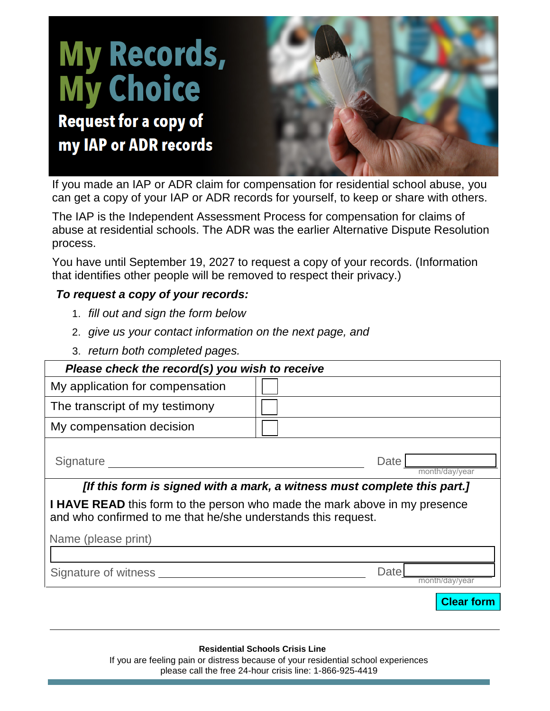## **My Records,<br>My Choice** Request for a copy of my IAP or ADR records

If you made an IAP or ADR claim for compensation for residential school abuse, you can get a copy of your IAP or ADR records for yourself, to keep or share with others.

The IAP is the Independent Assessment Process for compensation for claims of abuse at residential schools. The ADR was the earlier Alternative Dispute Resolution process.

You have until September 19, 2027 to request a copy of your records. (Information that identifies other people will be removed to respect their privacy.)

## *To request a copy of your records:*

- 1. *fill out and sign the form below*
- 2. *give us your contact information on the next page, and*
- 3. *return both completed pages.*

| Please check the record(s) you wish to receive                                                                                                     |                        |  |  |
|----------------------------------------------------------------------------------------------------------------------------------------------------|------------------------|--|--|
| My application for compensation                                                                                                                    |                        |  |  |
| The transcript of my testimony                                                                                                                     |                        |  |  |
| My compensation decision                                                                                                                           |                        |  |  |
| Signature                                                                                                                                          | Date<br>month/day/year |  |  |
| [If this form is signed with a mark, a witness must complete this part.]                                                                           |                        |  |  |
| <b>I HAVE READ</b> this form to the person who made the mark above in my presence<br>and who confirmed to me that he/she understands this request. |                        |  |  |
| Name (please print)                                                                                                                                |                        |  |  |
|                                                                                                                                                    |                        |  |  |
| Signature of witness                                                                                                                               | Date<br>month/dav/vear |  |  |
|                                                                                                                                                    | <b>Clear form</b>      |  |  |
|                                                                                                                                                    |                        |  |  |

## **Residential Schools Crisis Line**

If you are feeling pain or distress because of your residential school experiences please call the free 24-hour crisis line: 1-866-925-4419